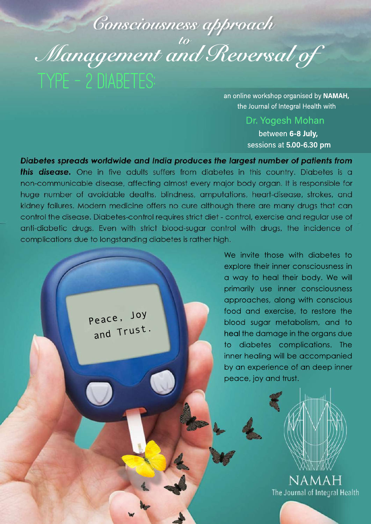## *to Consciousness approach*  type - 2 diabetes: *Management and Reversal of*

an online workshop organised by **NAMAH,** the Journal of Integral Health with

> Dr. Yogesh Mohan between **6-8 July,**

sessions at **5.00-6.30 pm**

Diabetes spreads worldwide and India produces the largest number of patients from this disease. One in five adults suffers from diabetes in this country. Diabetes is a non-communicable disease, affecting almost every major body organ. It is responsible for huge number of avoidable deaths, blindness, amputations, heart-disease, strokes, and kidney failures. Modern medicine offers no cure although there are many drugs that can control the disease. Diabetes-control requires strict diet - control, exercise and regular use of anti-diabetic drugs. Even with strict blood-sugar control with drugs, the incidence of complications due to longstanding diabetes is rather high.

Peace, Joy

and Trust.

explore their inner consciousness in a way to heal their body. We will primarily use inner consciousness approaches, along with conscious food and exercise, to restore the blood sugar metabolism, and to heal the damage in the organs due to diabetes complications. The inner healing will be accompanied by an experience of an deep inner peace, joy and trust.

We invite those with diabetes to

NAMAH The Journal of Integral Health